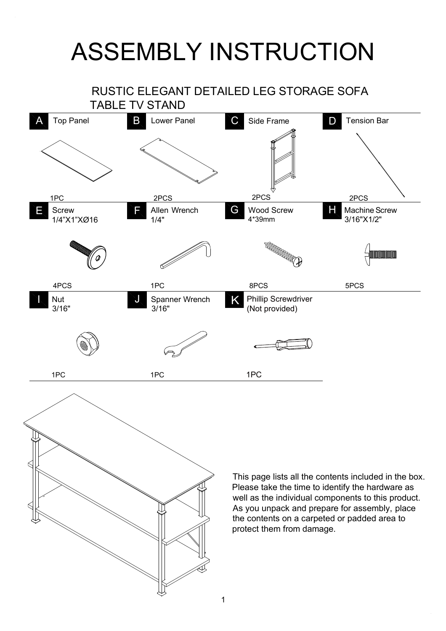## ASSEMBLY INSTRUCTION